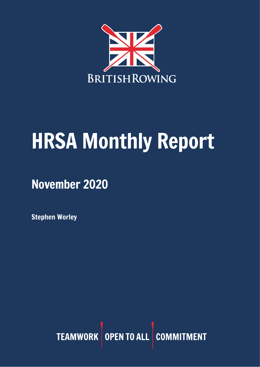

# HRSA Monthly Report

November 2020

Stephen Worley

TEAMWORK OPEN TO ALL COMMITMENT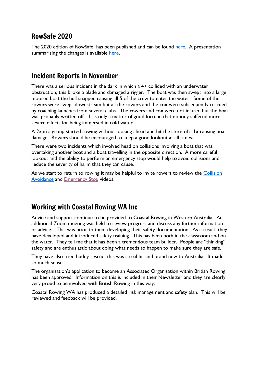## RowSafe 2020

The 2020 edition of RowSafe has been published and can be found [here.](https://www.britishrowing.org/about-us/policies-guidance/rowsafe/) A presentation summarising the changes is available [here.](https://www.britishrowing.org/wp-content/uploads/2020/11/201110-RowSafe2020Updates.pdf)

#### Incident Reports in November

There was a serious incident in the dark in which a 4+ collided with an underwater obstruction; this broke a blade and damaged a rigger. The boat was then swept into a large moored boat the hull snapped causing all 5 of the crew to enter the water. Some of the rowers were swept downstream but all the rowers and the cox were subsequently rescued by coaching launches from several clubs. The rowers and cox were not injured but the boat was probably written off. It is only a matter of good fortune that nobody suffered more severe effects for being immersed in cold water.

A 2x in a group started rowing without looking ahead and hit the stern of a 1x causing boat damage. Rowers should be encouraged to keep a good lookout at all times.

There were two incidents which involved head on collisions involving a boat that was overtaking another boat and a boat travelling in the opposite direction. A more careful lookout and the ability to perform an emergency stop would help to avoid collisions and reduce the severity of harm that they can cause.

As we start to return to rowing it may be helpful to invite rowers to review the Collision [Avoidance](https://www.youtube.com/watch?v=AhaI1G3R7jE) and [Emergency Stop](https://www.youtube.com/watch?v=3RBfI-O_AUo&feature=youtu.be) videos.

## Working with Coastal Rowing WA Inc

Advice and support continue to be provided to Coastal Rowing in Western Australia. An additional Zoom meeting was held to review progress and discuss any further information or advice. This was prior to them developing their safety documentation. As a result, they have developed and introduced safety training. This has been both in the classroom and on the water. They tell me that it has been a tremendous team builder. People are "thinking" safety and are enthusiastic about doing what needs to happen to make sure they are safe.

They have also tried buddy rescue; this was a real hit and brand new to Australia. It made so much sense.

The organisation's application to become an Associated Organisation within British Rowing has been approved. Information on this is included in their Newsletter and they are clearly very proud to be involved with British Rowing in this way.

Coastal Rowing WA has produced a detailed risk management and safety plan. This will be reviewed and feedback will be provided.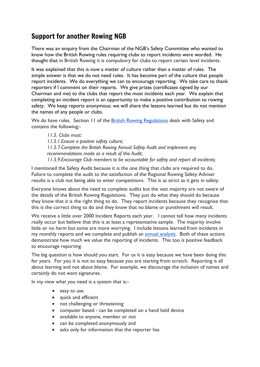# Support for another Rowing NGB

There was an enquiry from the Chairman of the NGB's Safety Committee who wanted to know how the British Rowing rules requiring clubs to report incidents were worded. He thought that in British Rowing it is compulsory for clubs to report certain level incidents.

It was explained that this is now a matter of culture rather than a matter of rules. The simple answer is that we do not need rules. It has become part of the culture that people report incidents. We do everything we can to encourage reporting. We take care to thank reporters if I comment on their reports. We give prizes (certificates signed by our Chairman and me) to the clubs that report the most incidents each year. We explain that completing an incident report is an opportunity to make a positive contribution to rowing safety. We keep reports anonymous; we will share the lessons learned but do not mention the names of any people or clubs.

We do have rules. Section 11 of the **British Rowing [Regulations](https://www.britishrowing.org/wp-content/uploads/2020/06/British-Rowing-Regulations-2020.pdf)** deals with Safety and contains the following:-

*11.5. Clubs must: 11.5.1.Ensure a positive safety culture; 11.5.7.Complete the British Rowing Annual Safety Audit and implement any recommendations made as a result of this Audit; 11.5.9.Encourage Club members to be accountable for safety and report all incidents;*

I mentioned the Safety Audit because it is the one thing that clubs are required to do. Failure to complete the audit to the satisfaction of the Regional Rowing Safety Adviser results is a club not being able to enter competitions. This is as strict as it gets in safety.

Everyone knows about the need to complete audits but the vast majority are not aware of the details of the British Rowing Regulations. They just do what they should do because they know that it is the right thing to do. They report incidents because they recognise that this is the correct thing to do and they know that no blame or punishment will result.

We receive a little over 2000 Incident Reports each year. I cannot tell how many incidents really occur but believe that this is at least a representative sample. The majority involve little or no harm but some are more worrying. I include lessons learned from incidents in my monthly reports and we complete and publish an **annual analysis**. Both of these actions demonstrate how much we value the reporting of incidents. This too is positive feedback to encourage reporting.

The big question is how should you start. For us it is easy because we have been doing this for years. For you it is not so easy because you are starting from scratch. Reporting is all about learning and not about blame. For example, we discourage the inclusion of names and certainly do not want signatures.

In my view what you need is a system that is:-

- easy to use
- quick and efficient
- not challenging or threatening
- computer based can be completed on a hand held device
- available to anyone, member or not
- can be completed anonymously and
- asks only for information that the reporter has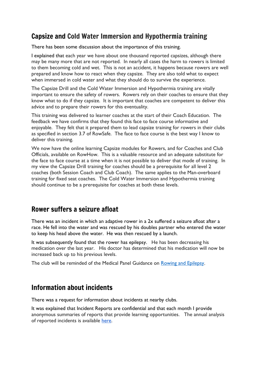### Capsize and Cold Water Immersion and Hypothermia training

There has been some discussion about the importance of this training.

I explained that each year we have about one thousand reported capsizes, although there may be many more that are not reported. In nearly all cases the harm to rowers is limited to them becoming cold and wet. This is not an accident, it happens because rowers are well prepared and know how to react when they capsize. They are also told what to expect when immersed in cold water and what they should do to survive the experience.

The Capsize Drill and the Cold Water Immersion and Hypothermia training are vitally important to ensure the safety of rowers. Rowers rely on their coaches to ensure that they know what to do if they capsize. It is important that coaches are competent to deliver this advice and to prepare their rowers for this eventuality.

This training was delivered to learner coaches at the start of their Coach Education. The feedback we have confirms that they found this face to face course informative and enjoyable. They felt that it prepared them to lead capsize training for rowers in their clubs as specified in section 3.7 of RowSafe. The face to face course is the best way I know to deliver this training.

We now have the online learning Capsize modules for Rowers, and for Coaches and Club Officials, available on RowHow. This is a valuable resource and an adequate substitute for the face to face course at a time when it is not possible to deliver that mode of training. In my view the Capsize Drill training for coaches should be a prerequisite for all level 2 coaches (both Session Coach and Club Coach). The same applies to the Man-overboard training for fixed seat coaches. The Cold Water Immersion and Hypothermia training should continue to be a prerequisite for coaches at both these levels.

#### Rower suffers a seizure afloat

There was an incident in which an adaptive rower in a 2x suffered a seizure afloat after a race. He fell into the water and was rescued by his doubles partner who entered the water to keep his head above the water. He was then rescued by a launch.

It was subsequently found that the rower has epilepsy. He has been decreasing his medication over the last year. His doctor has determined that his medication will now be increased back up to his previous levels.

The club will be reminded of the Medical Panel Guidance on Rowing and [Epilepsy.](https://www.britishrowing.org/knowledge/safety/health-and-fitness/rowing-and-epilepsy/)

#### Information about incidents

There was a request for information about incidents at nearby clubs.

It was explained that Incident Reports are confidential and that each month I provide anonymous summaries of reports that provide learning opportunities. The annual analysis of reported incidents is available [here.](https://www.britishrowing.org/wp-content/uploads/2020/02/2019-Incident-Analysis.pdf)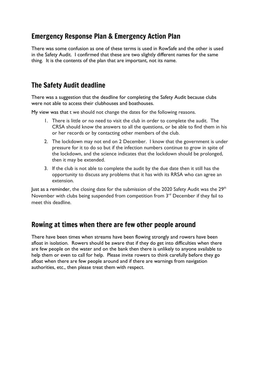## Emergency Response Plan & Emergency Action Plan

There was some confusion as one of these terms is used in RowSafe and the other is used in the Safety Audit. I confirmed that these are two slightly different names for the same thing. It is the contents of the plan that are important, not its name.

# The Safety Audit deadline

There was a suggestion that the deadline for completing the Safety Audit because clubs were not able to access their clubhouses and boathouses.

My view was that t we should not change the dates for the following reasons.

- 1. There is little or no need to visit the club in order to complete the audit. The CRSA should know the answers to all the questions, or be able to find them in his or her records or by contacting other members of the club.
- 2. The lockdown may not end on 2 December. I know that the government is under pressure for it to do so but if the infection numbers continue to grow in spite of the lockdown, and the science indicates that the lockdown should be prolonged, then it may be extended.
- 3. If the club is not able to complete the audit by the due date then it still has the opportunity to discuss any problems that it has with its RRSA who can agree an extension.

lust as a reminder, the closing date for the submission of the 2020 Safety Audit was the  $29<sup>th</sup>$ November with clubs being suspended from competition from 3<sup>rd</sup> December if they fail to meet this deadline.

#### Rowing at times when there are few other people around

There have been times when streams have been flowing strongly and rowers have been afloat in isolation. Rowers should be aware that if they do get into difficulties when there are few people on the water and on the bank then there is unlikely to anyone available to help them or even to call for help. Please invite rowers to think carefully before they go afloat when there are few people around and if there are warnings from navigation authorities, etc., then please treat them with respect.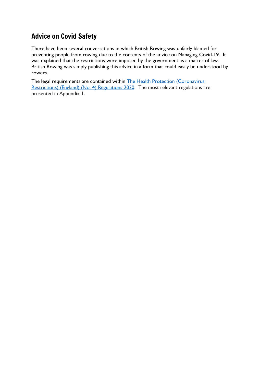# Advice on Covid Safety

There have been several conversations in which British Rowing was unfairly blamed for preventing people from rowing due to the contents of the advice on Managing Covid-19. It was explained that the restrictions were imposed by the government as a matter of law. British Rowing was simply publishing this advice in a form that could easily be understood by rowers.

The legal requirements are contained within The Health Protection [\(Coronavirus,](https://www.legislation.gov.uk/uksi/2020/1200/contents/made) [Restrictions\)](https://www.legislation.gov.uk/uksi/2020/1200/contents/made) (England) (No. 4) Regulations 2020. The most relevant regulations are presented in Appendix 1.